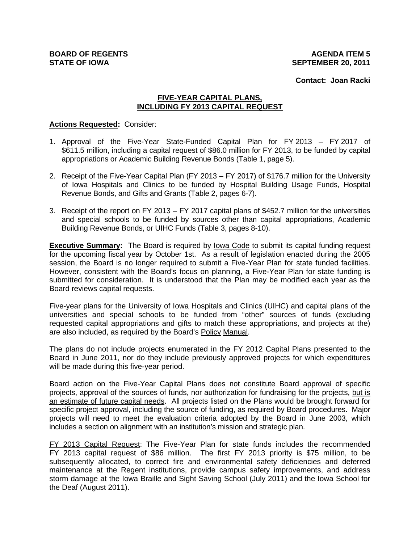**AGENDA ITEM 5 SEPTEMBER 20, 2011**

**Contact: Joan Racki**

# **FIVE-YEAR CAPITAL PLANS, INCLUDING FY 2013 CAPITAL REQUEST**

#### **Actions Requested:** Consider:

- 1. Approval of the Five-Year State-Funded Capital Plan for FY 2013 FY 2017 of \$611.5 million, including a capital request of \$86.0 million for FY 2013, to be funded by capital appropriations or Academic Building Revenue Bonds (Table 1, page 5).
- 2. Receipt of the Five-Year Capital Plan (FY 2013 FY 2017) of \$176.7 million for the University of Iowa Hospitals and Clinics to be funded by Hospital Building Usage Funds, Hospital Revenue Bonds, and Gifts and Grants (Table 2, pages 6-7).
- 3. Receipt of the report on FY 2013 FY 2017 capital plans of \$452.7 million for the universities and special schools to be funded by sources other than capital appropriations, Academic Building Revenue Bonds, or UIHC Funds (Table 3, pages 8-10).

**Executive Summary:** The Board is required by Iowa Code to submit its capital funding request for the upcoming fiscal year by October 1st. As a result of legislation enacted during the 2005 session, the Board is no longer required to submit a Five-Year Plan for state funded facilities. However, consistent with the Board's focus on planning, a Five-Year Plan for state funding is submitted for consideration. It is understood that the Plan may be modified each year as the Board reviews capital requests.

Five-year plans for the University of Iowa Hospitals and Clinics (UIHC) and capital plans of the universities and special schools to be funded from "other" sources of funds (excluding requested capital appropriations and gifts to match these appropriations, and projects at the) are also included, as required by the Board's Policy Manual.

The plans do not include projects enumerated in the FY 2012 Capital Plans presented to the Board in June 2011, nor do they include previously approved projects for which expenditures will be made during this five-year period.

Board action on the Five-Year Capital Plans does not constitute Board approval of specific projects, approval of the sources of funds, nor authorization for fundraising for the projects, but is an estimate of future capital needs. All projects listed on the Plans would be brought forward for specific project approval, including the source of funding, as required by Board procedures. Major projects will need to meet the evaluation criteria adopted by the Board in June 2003, which includes a section on alignment with an institution's mission and strategic plan.

FY 2013 Capital Request: The Five-Year Plan for state funds includes the recommended FY 2013 capital request of \$86 million. The first FY 2013 priority is \$75 million, to be subsequently allocated, to correct fire and environmental safety deficiencies and deferred maintenance at the Regent institutions, provide campus safety improvements, and address storm damage at the Iowa Braille and Sight Saving School (July 2011) and the Iowa School for the Deaf (August 2011).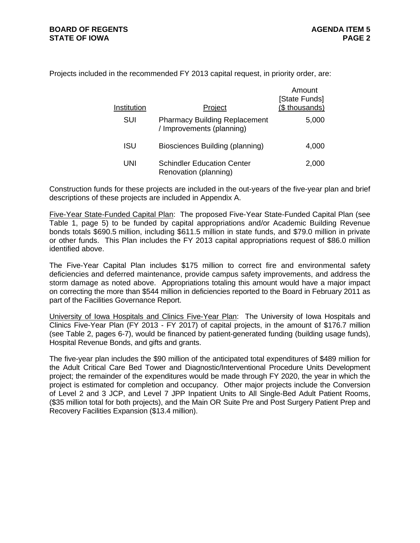Projects included in the recommended FY 2013 capital request, in priority order, are:

| Institution | Project                                                           | Amount<br>[State Funds]<br>(\$ thousands) |
|-------------|-------------------------------------------------------------------|-------------------------------------------|
| SUI         | <b>Pharmacy Building Replacement</b><br>/ Improvements (planning) | 5,000                                     |
| ISU         | Biosciences Building (planning)                                   | 4,000                                     |
| UNI         | <b>Schindler Education Center</b><br>Renovation (planning)        | 2,000                                     |

Construction funds for these projects are included in the out-years of the five-year plan and brief descriptions of these projects are included in Appendix A.

Five-Year State-Funded Capital Plan: The proposed Five-Year State-Funded Capital Plan (see Table 1, page 5) to be funded by capital appropriations and/or Academic Building Revenue bonds totals \$690.5 million, including \$611.5 million in state funds, and \$79.0 million in private or other funds. This Plan includes the FY 2013 capital appropriations request of \$86.0 million identified above.

The Five-Year Capital Plan includes \$175 million to correct fire and environmental safety deficiencies and deferred maintenance, provide campus safety improvements, and address the storm damage as noted above. Appropriations totaling this amount would have a major impact on correcting the more than \$544 million in deficiencies reported to the Board in February 2011 as part of the Facilities Governance Report.

University of Iowa Hospitals and Clinics Five-Year Plan: The University of Iowa Hospitals and Clinics Five-Year Plan (FY 2013 - FY 2017) of capital projects, in the amount of \$176.7 million (see Table 2, pages 6-7), would be financed by patient-generated funding (building usage funds), Hospital Revenue Bonds, and gifts and grants.

The five-year plan includes the \$90 million of the anticipated total expenditures of \$489 million for the Adult Critical Care Bed Tower and Diagnostic/Interventional Procedure Units Development project; the remainder of the expenditures would be made through FY 2020, the year in which the project is estimated for completion and occupancy. Other major projects include the Conversion of Level 2 and 3 JCP, and Level 7 JPP Inpatient Units to All Single-Bed Adult Patient Rooms, (\$35 million total for both projects), and the Main OR Suite Pre and Post Surgery Patient Prep and Recovery Facilities Expansion (\$13.4 million).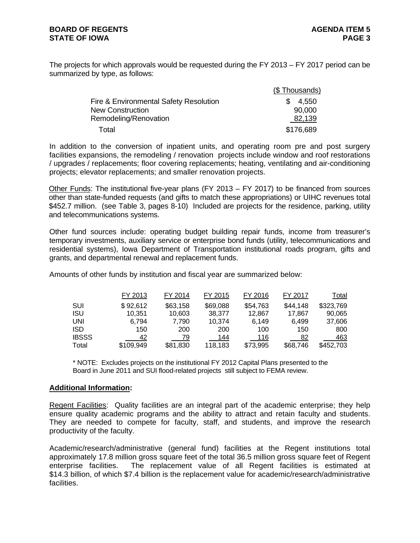The projects for which approvals would be requested during the FY 2013 – FY 2017 period can be summarized by type, as follows:

|                                        | (\$Thousands) |
|----------------------------------------|---------------|
| Fire & Environmental Safety Resolution | 4,550<br>SS.  |
| <b>New Construction</b>                | 90,000        |
| Remodeling/Renovation                  | 82,139        |
| Total                                  | \$176,689     |

In addition to the conversion of inpatient units, and operating room pre and post surgery facilities expansions, the remodeling / renovation projects include window and roof restorations / upgrades / replacements; floor covering replacements; heating, ventilating and air-conditioning projects; elevator replacements; and smaller renovation projects.

Other Funds: The institutional five-year plans (FY 2013 – FY 2017) to be financed from sources other than state-funded requests (and gifts to match these appropriations) or UIHC revenues total \$452.7 million. (see Table 3, pages 8-10) Included are projects for the residence, parking, utility and telecommunications systems.

Other fund sources include: operating budget building repair funds, income from treasurer's temporary investments, auxiliary service or enterprise bond funds (utility, telecommunications and residential systems), Iowa Department of Transportation institutional roads program, gifts and grants, and departmental renewal and replacement funds.

Amounts of other funds by institution and fiscal year are summarized below:

|              | FY 2013   | FY 2014  | FY 2015  | FY 2016  | FY 2017  | Total     |
|--------------|-----------|----------|----------|----------|----------|-----------|
| SUI          | \$92,612  | \$63,158 | \$69,088 | \$54,763 | \$44,148 | \$323,769 |
| <b>ISU</b>   | 10,351    | 10,603   | 38,377   | 12.867   | 17.867   | 90,065    |
| <b>UNI</b>   | 6.794     | 7.790    | 10,374   | 6.149    | 6.499    | 37,606    |
| <b>ISD</b>   | 150       | 200      | 200      | 100      | 150      | 800       |
| <b>IBSSS</b> | 42        | 79       | 144      | 116      | 82       | 463       |
| Total        | \$109,949 | \$81,830 | 118,183  | \$73,995 | \$68,746 | \$452,703 |

\* NOTE: Excludes projects on the institutional FY 2012 Capital Plans presented to the Board in June 2011 and SUI flood-related projects still subject to FEMA review.

#### **Additional Information:**

Regent Facilities:Quality facilities are an integral part of the academic enterprise; they help ensure quality academic programs and the ability to attract and retain faculty and students. They are needed to compete for faculty, staff, and students, and improve the research productivity of the faculty.

Academic/research/administrative (general fund) facilities at the Regent institutions total approximately 17.8 million gross square feet of the total 36.5 million gross square feet of Regent enterprise facilities. The replacement value of all Regent facilities is estimated at \$14.3 billion, of which \$7.4 billion is the replacement value for academic/research/administrative facilities.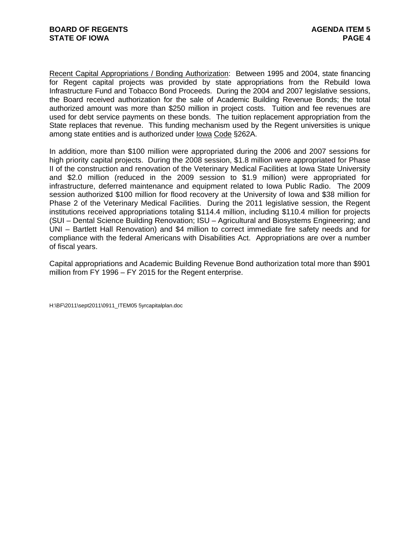Recent Capital Appropriations / Bonding Authorization: Between 1995 and 2004, state financing for Regent capital projects was provided by state appropriations from the Rebuild Iowa Infrastructure Fund and Tobacco Bond Proceeds. During the 2004 and 2007 legislative sessions, the Board received authorization for the sale of Academic Building Revenue Bonds; the total authorized amount was more than \$250 million in project costs. Tuition and fee revenues are used for debt service payments on these bonds. The tuition replacement appropriation from the State replaces that revenue. This funding mechanism used by the Regent universities is unique among state entities and is authorized under Iowa Code §262A.

In addition, more than \$100 million were appropriated during the 2006 and 2007 sessions for high priority capital projects. During the 2008 session, \$1.8 million were appropriated for Phase II of the construction and renovation of the Veterinary Medical Facilities at Iowa State University and \$2.0 million (reduced in the 2009 session to \$1.9 million) were appropriated for infrastructure, deferred maintenance and equipment related to Iowa Public Radio. The 2009 session authorized \$100 million for flood recovery at the University of Iowa and \$38 million for Phase 2 of the Veterinary Medical Facilities. During the 2011 legislative session, the Regent institutions received appropriations totaling \$114.4 million, including \$110.4 million for projects (SUI – Dental Science Building Renovation; ISU – Agricultural and Biosystems Engineering; and UNI – Bartlett Hall Renovation) and \$4 million to correct immediate fire safety needs and for compliance with the federal Americans with Disabilities Act. Appropriations are over a number of fiscal years.

Capital appropriations and Academic Building Revenue Bond authorization total more than \$901 million from FY 1996 – FY 2015 for the Regent enterprise.

H:\BF\2011\sept2011\0911\_ITEM05 5yrcapitalplan.doc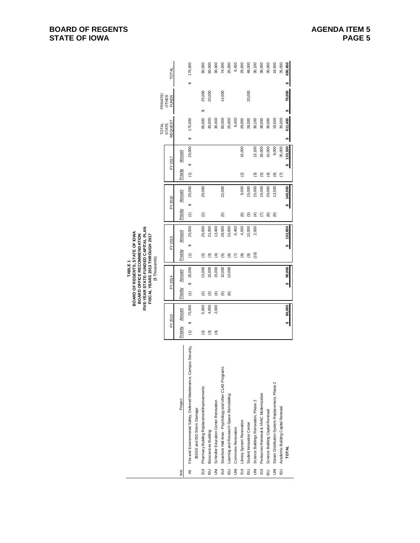|                |                                                                       |                      |              |          | FIVE-YEAR STATE-FUNDED CAPITAL PLAN<br>FISCAL YEARS 2013 THROUGH 2017<br>(\$ Thousands) |                   |         |          |         |                      |               |                  |    |                              |    |         |
|----------------|-----------------------------------------------------------------------|----------------------|--------------|----------|-----------------------------------------------------------------------------------------|-------------------|---------|----------|---------|----------------------|---------------|------------------|----|------------------------------|----|---------|
|                |                                                                       |                      |              |          |                                                                                         |                   |         |          |         |                      |               | <b>TOTAL</b>     |    | PRMATE                       |    |         |
|                |                                                                       |                      | FY 2013      |          | FY2014                                                                                  |                   | FY 2015 |          | FY2016  |                      | FY2017        | REQUEST<br>STATE |    | <b>OTHER</b><br><b>FUNDS</b> |    | TOTAL   |
| ΪšΙ            | Project                                                               | Priority             | Amount       | Priority | Amount                                                                                  | Priority          | Amount  | Priority | Amount  | Priority             | Amount        |                  |    |                              |    |         |
| ₹              | Fire and Environmental Safety, Deferred Maintenance, Campus Security, | $\widehat{\epsilon}$ | 75,000<br>↮  | Ξ        | 25,000<br>မာ                                                                            | မာ<br>Ξ           | 25,000  | မာ<br>Ξ  | 25,000  | $\widehat{\epsilon}$ | 25,000<br>↮   | 175,000<br>မာ    |    |                              | မာ | 175,000 |
|                | <b>BSSS and ISD Storm Damage</b>                                      |                      |              |          |                                                                                         |                   |         |          |         |                      |               |                  |    |                              |    |         |
| 5J             | Pharmacy Building Replacement/Improvements                            | ତ୍ର                  | 5,000        | ହ        | 15,000                                                                                  | ତ୍ର               | 25,000  | ତ୍ର      | 20,000  |                      |               | 65,000           | မာ | 25,000                       |    | 90,000  |
| <b>USI</b>     | <b>Biosciences Building</b>                                           | ල                    | 4,000        | ල        | 15,000                                                                                  | ම                 | 21,000  |          |         |                      |               | 40,000           |    | 20,000                       |    | 60,000  |
| $\bar{z}$      | Schindler Education Center Renovation                                 | €                    | 2,000        | €        | 15,000                                                                                  | €                 | 13,400  |          |         |                      |               | 30,400           |    |                              |    | 30,400  |
| 리.             | Seashore Hall Area - Psychology and other CLAS Programs               |                      |              | ত্ৰ      | 10,000                                                                                  | ত্ৰ               | 28,000  | ගි       | 22,000  |                      |               | 60,000           |    | 14,000                       |    | 74,000  |
| <b>USI</b>     | Leaming and Research Space Remodeling                                 |                      |              | ම        | 10,000                                                                                  | ම                 | 15,000  |          |         |                      |               | 25,000           |    |                              |    | 25,000  |
| $\bar{z}$      | <b>Commons Renovation</b>                                             |                      |              |          |                                                                                         | ε                 | 6,450   |          |         |                      |               | 6,450            |    |                              |    | 6,450   |
| SUI            | Library System Renovation                                             |                      |              |          |                                                                                         | $_{\circledR}$    | 4,000   | ම        | 9,000   | ହ                    | 16,000        | 29,000           |    |                              |    | 29,000  |
| <b>USI</b>     | Student Innovation Center                                             |                      |              |          |                                                                                         | ම                 | 13,000  | ඔ        | 15,000  |                      |               | 28,000           |    | 20,000                       |    | 48,000  |
| š              | Science Buildings Renovation, Phase 2                                 |                      |              |          |                                                                                         | $\left(10\right)$ | 2,000   | E        | 15,000  | ල                    | 13,100        | 30,100           |    |                              |    | 30,100  |
| 5J             | Pentacrest Renewal & HVAC Modernization                               |                      |              |          |                                                                                         |                   |         | ε        | 10,000  | ত্ৰ                  | 28,000        | 38,000           |    |                              |    | 38,000  |
| <b>USI</b>     | Science Building Capital Renewal                                      |                      |              |          |                                                                                         |                   |         | ම        | 20,000  | E                    | 10,000        | 30,000           |    |                              |    | 30,000  |
| $\overline{5}$ | Steam Distribution System Replacement, Phase 2                        |                      |              |          |                                                                                         |                   |         | ම        | 13,500  | ©                    | 6,000         | 19,500           |    |                              |    | 19,500  |
|                | ISU Academic Building Capital Renewal                                 |                      |              |          |                                                                                         |                   |         |          |         | ε                    | 35,000        | 35,000           |    |                              |    | 35,000  |
|                | TOTAL                                                                 |                      | 86,000<br>ø١ |          | 90,000<br>ø.                                                                            | ىم                | 152,850 | u۹       | 149,500 |                      | 133,100<br>ิ๛ | 611,450<br>⊌۶    | s, | 79,000                       | s, | 690,450 |
|                |                                                                       |                      |              |          |                                                                                         |                   |         |          |         |                      |               |                  |    |                              |    |         |

# **BOARD OF REGENTS, STATE OF IOWA** TABLE 1<br>BOARD OF REGENTS, STATE OF IOWA<br>BOARD OFFICE RECOMMENDATION **BOARD OFFICE RECOMMENDATION**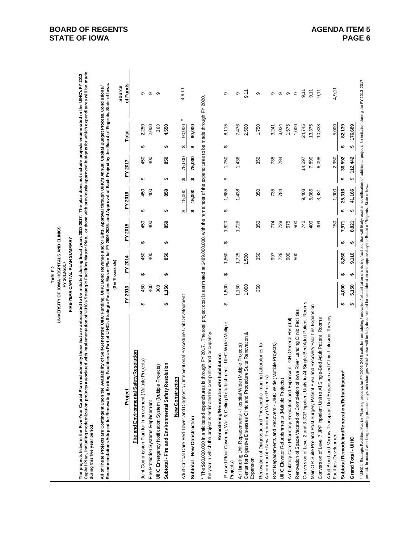| UNIVERSITY OF IOWA HOSPITALS AND CLINICS<br>FIVE-YEAR CAPITAL PLAN SUMMARY<br>FY 2013-2017<br>TABLE <sub>2</sub> |  |
|------------------------------------------------------------------------------------------------------------------|--|
|------------------------------------------------------------------------------------------------------------------|--|

The projects listed in the Five-Year Capital Plan include only those that are anticipated to be initiated during fiscal years 2013-2017. The plan does not include projects enumerated in the UHC's FY 2012<br>Capital Plan, incl **Capital Plan, including modernization projects associated with implementation of UIHC's Strategic Facilities Master Plan, or those with previously approved budgets for which expenditures will be made The projects listed in the Five-Year Capital Plan include only those that are anticipated to be initiated during fiscal years 2013-2017. The plan does not include projects enumerated in the UIHC's FY 2012 during this five year period.**

All of These Projects are Contingent Upon the Availability of Self-Generated UIHC Funding, UIHC Bowle Revenue and/or Gifts, Approval through UIHC's Annual Capital Budget Process, Conclusions /<br>Recommendations Adopted for R **Recommendations Adopted for Renovating Existing Facilities as Part of UIHC's Strategic Facilities Master Plan for FY 2006-2035, and Approval of Each Project by the Board of Regents, State of Iowa. All of These Projects are Contingent Upon the Availability of Self-Generated UIHC Funding, UIHC Bond Revenue and/or Gifts, Approval through UIHC's Annual Capital Budget Process, Conclusions /** 

|                                                                                                                                                                                                                                                                          |           |         | (\$ in Thousands) |         |   |         |                        |         |    |         |   |        |                           |  |
|--------------------------------------------------------------------------------------------------------------------------------------------------------------------------------------------------------------------------------------------------------------------------|-----------|---------|-------------------|---------|---|---------|------------------------|---------|----|---------|---|--------|---------------------------|--|
| Project                                                                                                                                                                                                                                                                  |           | FY 2013 |                   | FY 2014 |   | FY 2015 |                        | FY 2016 |    | FY 2017 |   | Total  | of Funds<br><b>Source</b> |  |
| Fire and Environmental Safety Resolution                                                                                                                                                                                                                                 |           |         |                   |         |   |         |                        |         |    |         |   |        |                           |  |
| Joint Commission Plan for Improvement (Multiple Projects)                                                                                                                                                                                                                | ↔         | 450     | ↮                 | 450     | ↮ | 450     | ↮                      | 450     | ↮  | 450     | ↮ | 2,250  | თ                         |  |
| Fire Protection Systems Replacement                                                                                                                                                                                                                                      |           | 400     |                   | 400     |   | 400     |                        | 400     |    | 400     |   | 2,000  | ၜ                         |  |
| Projects)<br>UIHC Emergency Notification System (Multiple                                                                                                                                                                                                                |           | 300     |                   |         |   |         |                        |         |    |         |   | 300    | တ                         |  |
| esolution<br>Subtotal - Fire and Environmental Safety R                                                                                                                                                                                                                  | <b>SA</b> | 1,150   | ↮                 | 850     | ↮ | 850     | ↮                      | 850     | ↮  | 850     | ↮ | 4,550  |                           |  |
| / Interventional Procedure Unit Development<br><b>New Construction</b><br>Adult Critical Care Bed Tower and Diagnostic                                                                                                                                                   |           |         |                   |         |   |         | $\boldsymbol{\varphi}$ | 15,000  | \$ | 75,000  | ↮ | 90,000 | 4, 9, 11                  |  |
| Subtotal - New Construction                                                                                                                                                                                                                                              |           |         |                   |         |   |         | ↮                      | 15,000  | ↮  | 75,000  | ₩ | 90,000 |                           |  |
| is through FY 2017. The total project cost is estimated at \$489,000,000, with the remainder of the expenditures to be made through FY 2020,<br>the year in which the project is estimated for completion and occupancy.<br>The \$90,000,000 in anticipated expenditures |           |         |                   |         |   |         |                        |         |    |         |   |        |                           |  |
| Phased Floor Covering, Wall & Celling Refurbishment - UIHC Wide (Multiple<br>Rehabilitation<br>Remodeling/Renovation<br>Projects)                                                                                                                                        | ↮         | 1,500   | ക                 | 1,560   | ↮ | 1,620   | ↮                      | 1,685   | ↔  | 1,750   | ↮ | 8,115  | တ                         |  |
| Air Handling Unit Replacements - Hospital Wide (Multiple Projects)                                                                                                                                                                                                       |           | 1,150   |                   | 1,725   |   | 1,725   |                        | 1,438   |    | 1,438   |   | 7,476  | თ                         |  |
| Center for Digestive Diseases Clinic and Procedure Suite Renovation &<br>Expansion                                                                                                                                                                                       |           | 1,000   |                   | ,500    |   |         |                        |         |    |         |   | 2,500  | 9,11                      |  |
| Renovation of Diagnostic and Therapeutic Imaging Laboratories to<br>Accommodate New Technology (Multiple Projects)                                                                                                                                                       |           | 350     |                   | 350     |   | 350     |                        | 350     |    | 350     |   | 1,750  | ග                         |  |
| Roof Replacements and Recovers - UlHC Wide (Multiple Projects)                                                                                                                                                                                                           |           |         |                   | 997     |   | 774     |                        | 735     |    | 735     |   | 3,241  | တ                         |  |
| UIHC Elevator Refurbishments (Multiple Projects)                                                                                                                                                                                                                         |           |         |                   | 728     |   | 728     |                        | 784     |    | 784     |   | 3,024  | ၜ                         |  |
| Ambulatory Care Pharmacy Relocation and Expansion - GH (General Hospital)                                                                                                                                                                                                |           |         |                   | 900     |   | 675     |                        |         |    |         |   | 1,575  | ၜ                         |  |
| Renovation of Space Vacated on Completion of lowa River Landing Clinic Facilities                                                                                                                                                                                        |           |         |                   | 500     |   | 500     |                        |         |    |         |   | 1,000  | ၜ                         |  |
| Conversion of Level 2 and 3 JCP Inpatient Units to All Single-Bed Adult Patient Rooms                                                                                                                                                                                    |           |         |                   |         |   | 740     |                        | 9,408   |    | 14,597  |   | 24,745 | 9,11                      |  |
| Main OR Suite Pre and Post Surgery Patient Prep and Recovery Facilities Expansion                                                                                                                                                                                        |           |         |                   |         |   | 400     |                        | 5,085   |    | 7,890   |   | 13,375 | 9,11                      |  |
| Single-Bed Adult Patient Rooms<br>Conversion of Level 7 JPP Inpatient Unit to All                                                                                                                                                                                        |           |         |                   |         |   | 309     |                        | 3,931   |    | 6,098   |   | 10,338 | 9,11                      |  |
| Adult Blood and Marrow Transplant Unit Expansion and Clinic / Infusion Therapy                                                                                                                                                                                           |           |         |                   |         |   |         |                        |         |    |         |   |        |                           |  |

\* UHC's Strategic Facilities Master Planning process for FY 2006-2035 calls for remodeling/nenov/rehabilitation of existing facilities that will likely result in identification of additional projects for initiation during \* UHC's Strategic Facilities Master Planning process for FY 2006-2005-2005-2005 calls for remodeling/renovation/of existing/tation of existing facilities that will likely result in identification of additional projects for period. In accord with long-standing practice, any such changes which arise will be fully documented for consideration and approval by the Board of Regents, State of Iowa.

 $\cdot$  $\bullet$ 

 $$5,150$  $$4,000$ 

Facilities Development 1,900 1,900 1,900 1,900 1,900 1,900 1,900 1,900 1,900 1,900 1,900 5,000 5,000 5,000 5,000 5,000 1,9,111

**Subtotal Remodeling/Renovation/Rehabilitation\* 4,000 \$ 8,260 \$ 7,971 \$ 25,316 \$ 36,592 \$ 82,139 \$ Grand Total - UIHC 5,150 \$ 9,110 \$ 8,821 \$ 41,166 \$ 112,442 \$ 176,689 \$** 

Subtotal Remodeling/Renovation/Rehabilitation\*

Grand Total - UIHC

Facilities Development

 $\overline{\phantom{a}}$ 

 $4,9,11$ 

82,139 5.000

> 36,592  $\frac{112,442}{2}$

s,

2,950

150 7,971 8,821

> s,  $\boldsymbol{\omega}$

8,260  $9,110$ 

\$ 176,689  $\bullet$ 

41,166 25,316 1.900

 $\mathbf{L}$  $\bullet$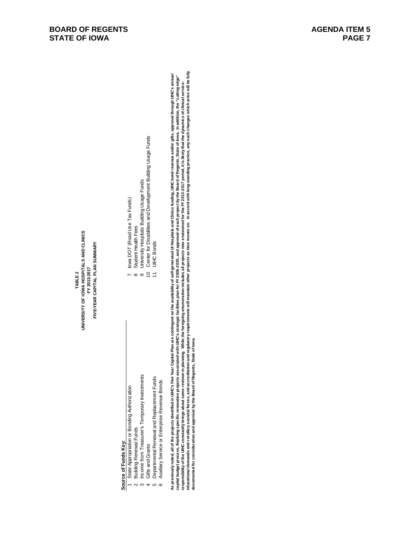- 
- 
- 
- 
- 
- 
- 
- 
- 
- 
- 

www.partial organization of the state of the state of the state of the state of the state of the state of the state of the state of the state of the state of the state of the state of the state of the state of the state of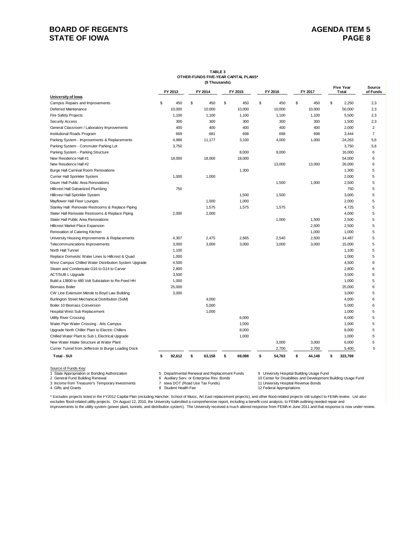## **BOARD OF REGENTS STATE OF IOWA**

#### **TABLE 3 OTHER-FUNDS FIVE-YEAR CAPITAL PLANS\* (\$ Thousands)**

|                                                                        | FY 2013      | FY 2014                                      | FY 2015      | FY 2016      | FY 2017 |                                           | <b>Five Year</b><br>Total | Source<br>of Funds |
|------------------------------------------------------------------------|--------------|----------------------------------------------|--------------|--------------|---------|-------------------------------------------|---------------------------|--------------------|
| University of lowa                                                     |              |                                              |              |              |         |                                           |                           |                    |
| Campus Repairs and Improvements                                        | \$<br>450    | \$<br>450                                    | \$<br>450    | \$<br>450    | \$      | 450                                       | \$<br>2,250               | 2,3                |
| Deferred Maintenance                                                   | 10,000       | 10,000                                       | 10,000       | 10,000       |         | 10,000                                    | 50,000                    | 2,3                |
| <b>Fire Safety Projects</b>                                            | 1,100        | 1,100                                        | 1,100        | 1,100        |         | 1,100                                     | 5,500                     | 2,3                |
| <b>Security Access</b>                                                 | 300          | 300                                          | 300          | 300          |         | 300                                       | 1,500                     | 2,3                |
| General Classroom / Laboratory Improvements                            | 400          | 400                                          | 400          | 400          |         | 400                                       | 2,000                     | $\overline{2}$     |
| Institutional Roads Program                                            | 669          | 681                                          | 698          | 698          |         | 698                                       | 3,444                     | $\overline{7}$     |
| Parking System - Improvements & Replacements                           | 4,986        | 11,177                                       | 3,100        | 4,000        |         | 1,000                                     | 24,263                    | 5,6                |
| Parking System - Commuter Parking Lot                                  | 3,750        |                                              |              |              |         |                                           | 3,750                     | 5,6                |
| Parking System - Parking Structure                                     |              |                                              | 8,000        | 8,000        |         |                                           | 16,000                    | 6                  |
| New Residence Hall #1                                                  | 18,000       | 18,000                                       | 18,000       |              |         |                                           | 54,000                    | 6                  |
| New Residence Hall #2                                                  |              |                                              |              | 13,000       |         | 13,000                                    | 26,000                    | 6                  |
| Burge Hall Carnival Room Renovations                                   |              |                                              | 1,300        |              |         |                                           | 1,300                     | 5                  |
| Currier Hall Sprinkler System                                          | 1,000        | 1,000                                        |              |              |         |                                           | 2,000                     | 5                  |
| Daum Hall Public Area Renovations                                      |              |                                              |              | 1,500        |         | 1,000                                     | 2,500                     | 5                  |
| Hillcrest Hall Galvanized Plumbing                                     | 750          |                                              |              |              |         |                                           | 750                       | 5                  |
| Hillcrest Hall Sprinkler System                                        |              |                                              | 1,500        | 1,500        |         |                                           | 3,000                     | 5                  |
| Mayflower Hall Floor Lounges                                           |              | 1,000                                        | 1,000        |              |         |                                           | 2,000                     | 5                  |
| Stanley Hall Renovate Restrooms & Replace Piping                       |              | 1,575                                        | 1,575        | 1,575        |         |                                           | 4,725                     | 5                  |
| Slater Hall Renovate Restrooms & Replace Piping                        | 2,000        | 2,000                                        |              |              |         |                                           | 4,000                     | 5                  |
| Slater Hall Public Area Renovations                                    |              |                                              |              | 1,000        |         | 1,500                                     | 2,500                     | 5                  |
| Hillcrest Market Place Expansion                                       |              |                                              |              |              |         | 2,500                                     | 2,500                     | 5                  |
| Renovation of Catering Kitchen                                         |              |                                              |              |              |         | 1,000                                     | 1,000                     | 5                  |
| University Housing Improvements & Replacements                         | 4,307        | 2,475                                        | 2,665        | 2,540        |         | 2,500                                     | 14,487                    | 5                  |
| Telecommunications Improvements                                        | 3,000        | 3,000                                        | 3,000        | 3,000        |         | 3,000                                     | 15,000                    | 5                  |
| North Hall Tunnel                                                      | 1,100        |                                              |              |              |         |                                           | 1,100                     | 5                  |
| Replace Domestic Water Lines to Hillcrest & Quad                       | 1,000        |                                              |              |              |         |                                           | 1,000                     | 5                  |
| West Campus Chilled Water Distribution System Upgrade                  | 4,500        |                                              |              |              |         |                                           | 4,500                     | 6                  |
| Steam and Condensate G16 to G14 to Carver                              | 2,800        |                                              |              |              |         |                                           | 2,800                     | 6                  |
| <b>ACT/SUB L Upgrade</b>                                               | 3,500        |                                              |              |              |         |                                           | 3,500                     | 6                  |
| Build a 13800 to 480 Volt Substation to Re-Feed HH                     | 1,000        |                                              |              |              |         |                                           | 1,000                     | 5                  |
| <b>Biomass Boiler</b>                                                  | 25,000       |                                              |              |              |         |                                           | 25,000                    | 6                  |
| CW Line Extension Merole to Boyd Law Building                          | 3,000        |                                              |              |              |         |                                           | 3,000                     | 5                  |
| Burlington Street Mechanical Distribution (SoM)                        |              | 4,000                                        |              |              |         |                                           | 4,000                     | 6                  |
| Boiler 10 Biomass Conversion                                           |              | 5,000                                        |              |              |         |                                           | 5,000                     | 6                  |
| Hospital West Sub Replacement                                          |              | 1,000                                        |              |              |         |                                           | 1,000                     | 5                  |
| Utility River Crossing                                                 |              |                                              | 6,000        |              |         |                                           | 6,000                     | 5                  |
| Water Pipe Water Crossing - Arts Campus                                |              |                                              | 1,000        |              |         |                                           | 1,000                     | 5                  |
| Upgrade North Chiller Plant to Electric Chillers                       |              |                                              | 8,000        |              |         |                                           | 8,000                     | 5                  |
| Chilled Water Plant to Sub L Electrical Upgrade                        |              |                                              | 1,000        |              |         |                                           | 1,000                     | 5                  |
| New Water Intake Structure at Water Plant                              |              |                                              |              | 3,000        |         | 3,000                                     | 6,000                     | 5                  |
| Currier Tunnel from Jefferson to Burge Loading Dock                    |              |                                              |              | 2,700        |         | 2,700                                     | 5,400                     | 5                  |
| <b>Total - SUI</b>                                                     | \$<br>92,612 | \$<br>63,158                                 | \$<br>69,088 | \$<br>54,763 | \$      | 44,148                                    | \$<br>323,769             |                    |
|                                                                        |              |                                              |              |              |         |                                           |                           |                    |
| Source of Funds Key:<br>1 State Appropriation or Bonding Authorization |              | 5 Departmental Renewal and Replacement Funds |              |              |         | 9 University Hospital Building Usage Fund |                           |                    |

1 State Appropriation or Bonding Authorization 6 Conserved by Supertmental Renewal and Replacement Funds 9 University Hospital Building Usage Fund<br>2 General Fund Building Renewal 6 Auxiliary Serv. or Enterprise Rev. Bonds

2 General Fund Building Rev. or Enterprise Rev. Bonds 10 Center for Disabilities and Development Building Usage Fund<br>2 General Appropriations 10 Center for Disabilities and Development Building Usage Fund<br>12 Federal Approp

3 Income from Treasurer's Temporary Investments 7 Iowa DOT (Road Use Tax Funds) 11 University Hospital Revenue Bonds<br>4 Gifts and Grants 8 Student Health Fee 12 Federal Appropr

\* Excludes projects listed in the FY2012 Capital Plan (including Hancher, School of Music, Art East replacement projects), and other flood-related projects still subject to FEMA review. List also excludes flood-related utility projects. On August 12, 2010, the University submitted a comprehensive report, including a benefit-cost analysis, to FEMA outlining needed repair and improvements to the utility system (power plant, tunnels, and distribution system). The University received a much altered response from FEMA in June 2011 and that response is now under review.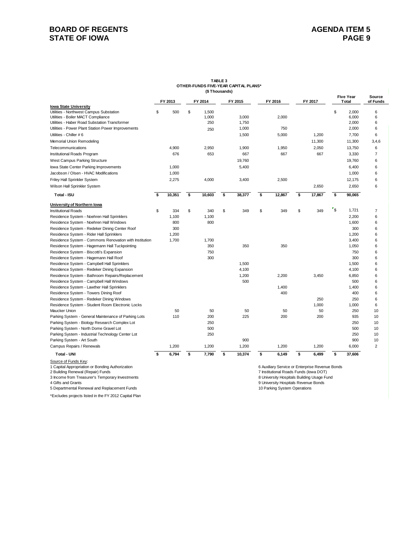## **BOARD OF REGENTS STATE OF IOWA**

#### **TABLE 3 OTHER-FUNDS FIVE-YEAR CAPITAL PLANS\* (\$ Thousands)**

|                                                                                     | FY 2013      |    | FY 2014      |    | FY 2015        | FY 2016      | FY 2017      |                           | <b>Five Year</b><br>Total | Source<br>of Funds |
|-------------------------------------------------------------------------------------|--------------|----|--------------|----|----------------|--------------|--------------|---------------------------|---------------------------|--------------------|
| lowa State University                                                               |              |    |              |    |                |              |              |                           |                           |                    |
| Utilities - Northwest Campus Substation                                             | \$<br>500    | \$ | 1,500        |    |                |              |              | \$                        | 2,000                     | 6                  |
| Utilities - Boiler MACT Compliance<br>Utilities - Haber Road Substation Transformer |              |    | 1,000<br>250 |    | 3,000<br>1,750 | 2,000        |              |                           | 6,000<br>2,000            | 6<br>6             |
| Utilities - Power Plant Station Power Improvements                                  |              |    |              |    | 1,000          | 750          |              |                           | 2,000                     | 6                  |
| Utilities - Chiller # 6                                                             |              |    | 250          |    |                |              |              |                           | 7,700                     | 6                  |
|                                                                                     |              |    |              |    | 1,500          | 5,000        | 1,200        |                           |                           |                    |
| Memorial Union Remodeling                                                           |              |    |              |    |                |              | 11,300       |                           | 11,300                    | 3,4,6              |
| Telecommunications                                                                  | 4,900        |    | 2,950        |    | 1,900          | 1,950        | 2,050        |                           | 13,750                    | 6                  |
| Institutional Roads Program                                                         | 676          |    | 653          |    | 667            | 667          | 667          |                           | 3,330                     | $\overline{7}$     |
| West Campus Parking Structure                                                       |              |    |              |    | 19,760         |              |              |                           | 19,760                    | 6                  |
| lowa State Center Parking Improvements                                              | 1,000        |    |              |    | 5,400          |              |              |                           | 6,400                     | 6                  |
| Jacobson / Olsen - HVAC Modifications                                               | 1,000        |    |              |    |                |              |              |                           | 1,000                     | 6                  |
| Friley Hall Sprinkler System                                                        | 2,275        |    | 4,000        |    | 3,400          | 2,500        |              |                           | 12,175                    | 6                  |
| Wilson Hall Sprinkler System                                                        |              |    |              |    |                |              | 2,650        |                           | 2,650                     | 6                  |
| Total - ISU                                                                         | \$<br>10,351 | \$ | 10,603       | \$ | 38,377         | \$<br>12,867 | \$<br>17,867 | \$                        | 90,065                    |                    |
| University of Northern Iowa                                                         |              |    |              |    |                |              |              |                           |                           |                    |
| <b>Institutional Roads</b>                                                          | \$<br>334    | S  | 340          | \$ | 349            | \$<br>349    | \$<br>349    | $\mathbf{r}_{\mathsf{S}}$ | 1,721                     | $\overline{7}$     |
| Residence System - Noehren Hall Sprinklers                                          | 1,100        |    | 1,100        |    |                |              |              |                           | 2,200                     | 6                  |
| Residence System - Noehren Hall Windows                                             | 800          |    | 800          |    |                |              |              |                           | 1,600                     | 6                  |
| Residence System - Redeker Dining Center Roof                                       | 300          |    |              |    |                |              |              |                           | 300                       | 6                  |
| Residence System - Rider Hall Sprinklers                                            | 1,200        |    |              |    |                |              |              |                           | 1,200                     | 6                  |
| Residence System - Commons Renovation with Institution                              | 1,700        |    | 1,700        |    |                |              |              |                           | 3,400                     | 6                  |
| Residence System - Hagemann Hall Tuckpointing                                       |              |    | 350          |    | 350            | 350          |              |                           | 1,050                     | 6                  |
| Residence System - Biscotti's Expansion                                             |              |    | 750          |    |                |              |              |                           | 750                       | 6                  |
| Residence System - Hagemann Hall Roof                                               |              |    | 300          |    |                |              |              |                           | 300                       | 6                  |
| Residence System - Campbell Hall Sprinklers                                         |              |    |              |    | 1,500          |              |              |                           | 1,500                     | 6                  |
| Residence System - Redeker Dining Expansion                                         |              |    |              |    | 4,100          |              |              |                           | 4,100                     | 6                  |
| Residence System - Bathroom Repairs/Replacement                                     |              |    |              |    | 1,200          | 2,200        | 3,450        |                           | 6,850                     | 6                  |
| Residence System - Campbell Hall Windows                                            |              |    |              |    | 500            |              |              |                           | 500                       | 6                  |
| Residence System - Lawther Hall Sprinklers                                          |              |    |              |    |                | 1.400        |              |                           | 1,400                     | 6                  |
| Residence System - Towers Dining Roof                                               |              |    |              |    |                | 400          |              |                           | 400                       | 6                  |
| Residence System - Redeker Dining Windows                                           |              |    |              |    |                |              | 250          |                           | 250                       | 6                  |
| Residence System - Student Room Electronic Locks                                    |              |    |              |    |                |              | 1,000        |                           | 1,000                     | 6                  |
| Maucker Union                                                                       | 50           |    | 50           |    | 50             | 50           | 50           |                           | 250                       | 10                 |
| Parking System - General Maintenance of Parking Lots                                | 110          |    | 200          |    | 225            | 200          | 200          |                           | 935                       | 10                 |
| Parking System - Biology Research Complex Lot                                       |              |    | 250          |    |                |              |              |                           | 250                       | 10                 |
| Parking System - North Dome Gravel Lot                                              |              |    | 500          |    |                |              |              |                           | 500                       | 10                 |
| Parking System - Industrial Technology Center Lot                                   |              |    | 250          |    |                |              |              |                           | 250                       | 10                 |
| Parking System - Art South                                                          |              |    |              |    | 900            |              |              |                           | 900                       | 10                 |
| Campus Repairs / Renewals                                                           | 1,200        |    | 1,200        |    | 1,200          | 1,200        | 1,200        |                           | 6,000                     | $\overline{2}$     |
| <b>Total - UNI</b>                                                                  | \$<br>6,794  | \$ | 7,790        | s  | 10,374         | \$<br>6,149  | \$<br>6,499  | \$                        | 37,606                    |                    |
| Source of Funds Kev:                                                                |              |    |              |    |                |              |              |                           |                           |                    |

5 Departmental Renewal and Replacement Funds 10 Parking System Operations 10 Parking System Operations

\*Excludes projects listed in the FY 2012 Capital Plan

6 Auxiliary Service or Enterprise Revenue Bonds<br>7 Institutional Roads Funds (Iowa DOT) 2 Building Renewal (Repair) Funds 7 Institutional Roads Funds (Iowa DOT) 3 Income from Treasurer's Temporary Investments<br>4 Gifts and Grants Building Usage Fund<br>4 Gifts and Grants Revenue Bonds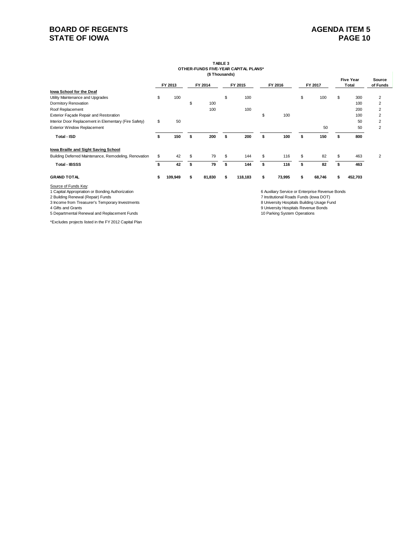## **BOARD OF REGENTS STATE OF IOWA**

#### **TABLE 3 OTHER-FUNDS FIVE-YEAR CAPITAL PLANS\* (\$ Thousands)**

|                                                                                                               |    | FY 2013 |    | FY 2014 |    | FY 2015 |    | FY 2016                                                                                   |    | FY 2017 |    | <b>Five Year</b><br>Total | Source<br>of Funds |
|---------------------------------------------------------------------------------------------------------------|----|---------|----|---------|----|---------|----|-------------------------------------------------------------------------------------------|----|---------|----|---------------------------|--------------------|
| <b>Iowa School for the Deaf</b>                                                                               |    |         |    |         |    |         |    |                                                                                           |    |         |    |                           |                    |
| Utility Maintenance and Upgrades                                                                              | \$ | 100     |    |         | \$ | 100     |    |                                                                                           | \$ | 100     | S  | 300                       | 2                  |
| Dormitory Renovation                                                                                          |    |         | S  | 100     |    |         |    |                                                                                           |    |         |    | 100                       | $\overline{2}$     |
| Roof Replacement                                                                                              |    |         |    | 100     |    | 100     |    |                                                                                           |    |         |    | 200                       | $\overline{2}$     |
| Exterior Façade Repair and Restoration                                                                        |    |         |    |         |    |         | \$ | 100                                                                                       |    |         |    | 100                       | $\overline{2}$     |
| Interior Door Replacement in Elementary (Fire Safety)                                                         | \$ | 50      |    |         |    |         |    |                                                                                           |    |         |    | 50                        | $\overline{2}$     |
| <b>Exterior Window Replacement</b>                                                                            |    |         |    |         |    |         |    |                                                                                           |    | 50      |    | 50                        | $\overline{2}$     |
| Total - ISD                                                                                                   | \$ | 150     | \$ | 200     | Ŝ  | 200     | \$ | 100                                                                                       | \$ | 150     |    | 800                       |                    |
| Iowa Braille and Sight Saving School                                                                          |    |         |    |         |    |         |    |                                                                                           |    |         |    |                           |                    |
| Building Deferred Maintenance, Remodeling, Renovation                                                         | S  | 42      | S  | 79      | S  | 144     | S  | 116                                                                                       | \$ | 82      | \$ | 463                       | 2                  |
| <b>Total - IBSSS</b>                                                                                          |    | 42      | s  | 79      | S  | 144     |    | 116                                                                                       |    | 82      |    | 463                       |                    |
| <b>GRAND TOTAL</b>                                                                                            | s  | 109,949 | s  | 81,830  | \$ | 118,183 | s  | 73,995                                                                                    | S  | 68,746  |    | 452,703                   |                    |
| Source of Funds Key:<br>1 Capital Appropriation or Bonding Authorization<br>2 Building Renewal (Repair) Funds |    |         |    |         |    |         |    | 6 Auxiliary Service or Enterprise Revenue Bonds<br>7 Institutional Roads Funds (lowa DOT) |    |         |    |                           |                    |

3 Income from Treasurer's Temporary Investments<br>4 Gifts and Grants

5 Departmental Renewal and Replacement Funds 10 Parking System Operations

\*Excludes projects listed in the FY 2012 Capital Plan

7 Institutional Roads Funds (Iowa DOT)<br>8 University Hospitals Building Usage Fund

9 University Hospitals Revenue Bonds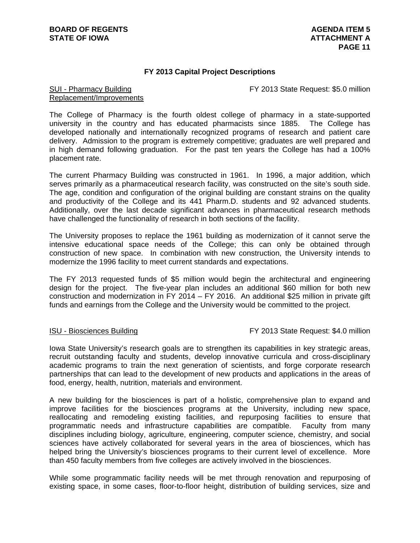## **FY 2013 Capital Project Descriptions**

FY 2013 State Request: \$5.0 million

## SUI - Pharmacy Building Replacement/Improvements

The College of Pharmacy is the fourth oldest college of pharmacy in a state-supported university in the country and has educated pharmacists since 1885. The College has developed nationally and internationally recognized programs of research and patient care delivery. Admission to the program is extremely competitive; graduates are well prepared and in high demand following graduation. For the past ten years the College has had a 100% placement rate.

The current Pharmacy Building was constructed in 1961. In 1996, a major addition, which serves primarily as a pharmaceutical research facility, was constructed on the site's south side. The age, condition and configuration of the original building are constant strains on the quality and productivity of the College and its 441 Pharm.D. students and 92 advanced students. Additionally, over the last decade significant advances in pharmaceutical research methods have challenged the functionality of research in both sections of the facility.

The University proposes to replace the 1961 building as modernization of it cannot serve the intensive educational space needs of the College; this can only be obtained through construction of new space. In combination with new construction, the University intends to modernize the 1996 facility to meet current standards and expectations.

The FY 2013 requested funds of \$5 million would begin the architectural and engineering design for the project. The five-year plan includes an additional \$60 million for both new construction and modernization in FY 2014 – FY 2016. An additional \$25 million in private gift funds and earnings from the College and the University would be committed to the project.

ISU - Biosciences Building FY 2013 State Request: \$4.0 million

Iowa State University's research goals are to strengthen its capabilities in key strategic areas, recruit outstanding faculty and students, develop innovative curricula and cross-disciplinary academic programs to train the next generation of scientists, and forge corporate research partnerships that can lead to the development of new products and applications in the areas of food, energy, health, nutrition, materials and environment.

A new building for the biosciences is part of a holistic, comprehensive plan to expand and improve facilities for the biosciences programs at the University, including new space, reallocating and remodeling existing facilities, and repurposing facilities to ensure that programmatic needs and infrastructure capabilities are compatible. Faculty from many disciplines including biology, agriculture, engineering, computer science, chemistry, and social sciences have actively collaborated for several years in the area of biosciences, which has helped bring the University's biosciences programs to their current level of excellence. More than 450 faculty members from five colleges are actively involved in the biosciences.

While some programmatic facility needs will be met through renovation and repurposing of existing space, in some cases, floor-to-floor height, distribution of building services, size and